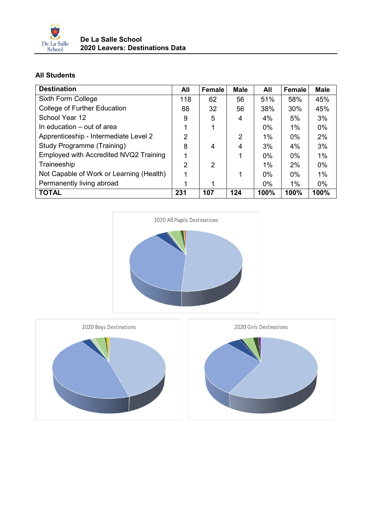

## **All Students**

| <b>Destination</b>                       | All | Female | <b>Male</b> | All   | <b>Female</b> | <b>Male</b> |
|------------------------------------------|-----|--------|-------------|-------|---------------|-------------|
| Sixth Form College                       | 118 | 62     | 56          | 51%   | 58%           | 45%         |
| College of Further Education             | 88  | 32     | 56          | 38%   | 30%           | 45%         |
| School Year 12                           | 9   | 5      | 4           | 4%    | 5%            | 3%          |
| In education – out of area               |     | 1      |             | $0\%$ | $1\%$         | $0\%$       |
| Apprenticeship - Intermediate Level 2    | 2   |        | 2           | $1\%$ | $0\%$         | 2%          |
| <b>Study Programme (Training)</b>        | 8   | 4      | 4           | 3%    | 4%            | 3%          |
| Employed with Accredited NVQ2 Training   |     |        |             | $0\%$ | $0\%$         | $1\%$       |
| Traineeship                              | 2   | 2      |             | $1\%$ | 2%            | $0\%$       |
| Not Capable of Work or Learning (Health) |     |        | 1           | $0\%$ | $0\%$         | $1\%$       |
| Permanently living abroad                |     |        |             | $0\%$ | 1%            | $0\%$       |
| <b>TOTAL</b>                             | 231 | 107    | 124         | 100%  | 100%          | 100%        |



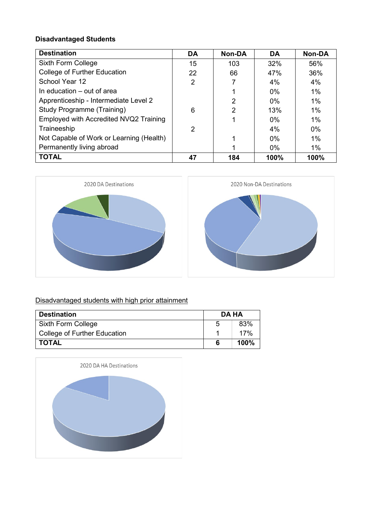## **Disadvantaged Students**

| <b>Destination</b>                       | <b>DA</b>      | <b>Non-DA</b> | <b>DA</b> | <b>Non-DA</b> |
|------------------------------------------|----------------|---------------|-----------|---------------|
| Sixth Form College                       | 15             | 103           | 32%       | 56%           |
| College of Further Education             | 22             | 66            | 47%       | 36%           |
| School Year 12                           | $\overline{2}$ |               | 4%        | 4%            |
| In education – out of area               |                |               | $0\%$     | 1%            |
| Apprenticeship - Intermediate Level 2    |                | 2             | $0\%$     | $1\%$         |
| <b>Study Programme (Training)</b>        | 6              | 2             | 13%       | $1\%$         |
| Employed with Accredited NVQ2 Training   |                |               | $0\%$     | 1%            |
| Traineeship                              | 2              |               | 4%        | $0\%$         |
| Not Capable of Work or Learning (Health) |                |               | $0\%$     | $1\%$         |
| Permanently living abroad                |                |               | $0\%$     | 1%            |
| <b>TOTAL</b>                             | 47             | 184           | 100%      | 100%          |





## Disadvantaged students with high prior attainment

| <b>Destination</b>           | DA HA |      |
|------------------------------|-------|------|
| Sixth Form College           | 5     | 83%  |
| College of Further Education |       | 17%  |
| I TOTAL                      |       | 100% |